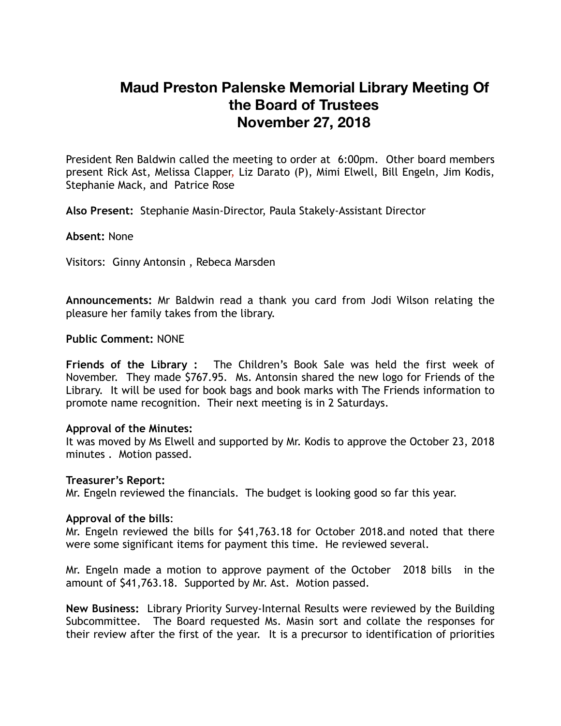# **Maud Preston Palenske Memorial Library Meeting Of the Board of Trustees November 27, 2018**

President Ren Baldwin called the meeting to order at 6:00pm. Other board members present Rick Ast, Melissa Clapper, Liz Darato (P), Mimi Elwell, Bill Engeln, Jim Kodis, Stephanie Mack, and Patrice Rose

**Also Present:** Stephanie Masin-Director, Paula Stakely-Assistant Director

**Absent:** None

Visitors: Ginny Antonsin , Rebeca Marsden

**Announcements:** Mr Baldwin read a thank you card from Jodi Wilson relating the pleasure her family takes from the library.

#### **Public Comment:** NONE

**Friends of the Library :** The Children's Book Sale was held the first week of November. They made \$767.95. Ms. Antonsin shared the new logo for Friends of the Library. It will be used for book bags and book marks with The Friends information to promote name recognition. Their next meeting is in 2 Saturdays.

#### **Approval of the Minutes:**

It was moved by Ms Elwell and supported by Mr. Kodis to approve the October 23, 2018 minutes . Motion passed.

#### **Treasurer's Report:**

Mr. Engeln reviewed the financials. The budget is looking good so far this year.

#### **Approval of the bills**:

Mr. Engeln reviewed the bills for \$41,763.18 for October 2018.and noted that there were some significant items for payment this time. He reviewed several.

Mr. Engeln made a motion to approve payment of the October 2018 bills in the amount of \$41,763.18. Supported by Mr. Ast. Motion passed.

**New Business:** Library Priority Survey-Internal Results were reviewed by the Building Subcommittee. The Board requested Ms. Masin sort and collate the responses for their review after the first of the year. It is a precursor to identification of priorities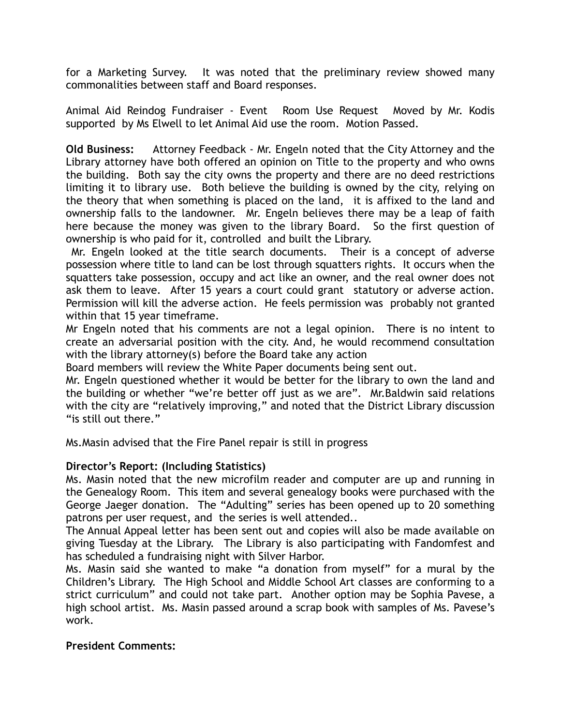for a Marketing Survey. It was noted that the preliminary review showed many commonalities between staff and Board responses.

Animal Aid Reindog Fundraiser - Event Room Use Request Moved by Mr. Kodis supported by Ms Elwell to let Animal Aid use the room. Motion Passed.

**Old Business:** Attorney Feedback - Mr. Engeln noted that the City Attorney and the Library attorney have both offered an opinion on Title to the property and who owns the building. Both say the city owns the property and there are no deed restrictions limiting it to library use. Both believe the building is owned by the city, relying on the theory that when something is placed on the land, it is affixed to the land and ownership falls to the landowner. Mr. Engeln believes there may be a leap of faith here because the money was given to the library Board. So the first question of ownership is who paid for it, controlled and built the Library.

 Mr. Engeln looked at the title search documents. Their is a concept of adverse possession where title to land can be lost through squatters rights. It occurs when the squatters take possession, occupy and act like an owner, and the real owner does not ask them to leave. After 15 years a court could grant statutory or adverse action. Permission will kill the adverse action. He feels permission was probably not granted within that 15 year timeframe.

Mr Engeln noted that his comments are not a legal opinion. There is no intent to create an adversarial position with the city. And, he would recommend consultation with the library attorney(s) before the Board take any action

Board members will review the White Paper documents being sent out.

Mr. Engeln questioned whether it would be better for the library to own the land and the building or whether "we're better off just as we are". Mr.Baldwin said relations with the city are "relatively improving," and noted that the District Library discussion "is still out there."

Ms.Masin advised that the Fire Panel repair is still in progress

## **Director's Report: (Including Statistics)**

Ms. Masin noted that the new microfilm reader and computer are up and running in the Genealogy Room. This item and several genealogy books were purchased with the George Jaeger donation. The "Adulting" series has been opened up to 20 something patrons per user request, and the series is well attended..

The Annual Appeal letter has been sent out and copies will also be made available on giving Tuesday at the Library. The Library is also participating with Fandomfest and has scheduled a fundraising night with Silver Harbor.

Ms. Masin said she wanted to make "a donation from myself" for a mural by the Children's Library. The High School and Middle School Art classes are conforming to a strict curriculum" and could not take part. Another option may be Sophia Pavese, a high school artist. Ms. Masin passed around a scrap book with samples of Ms. Pavese's work.

## **President Comments:**